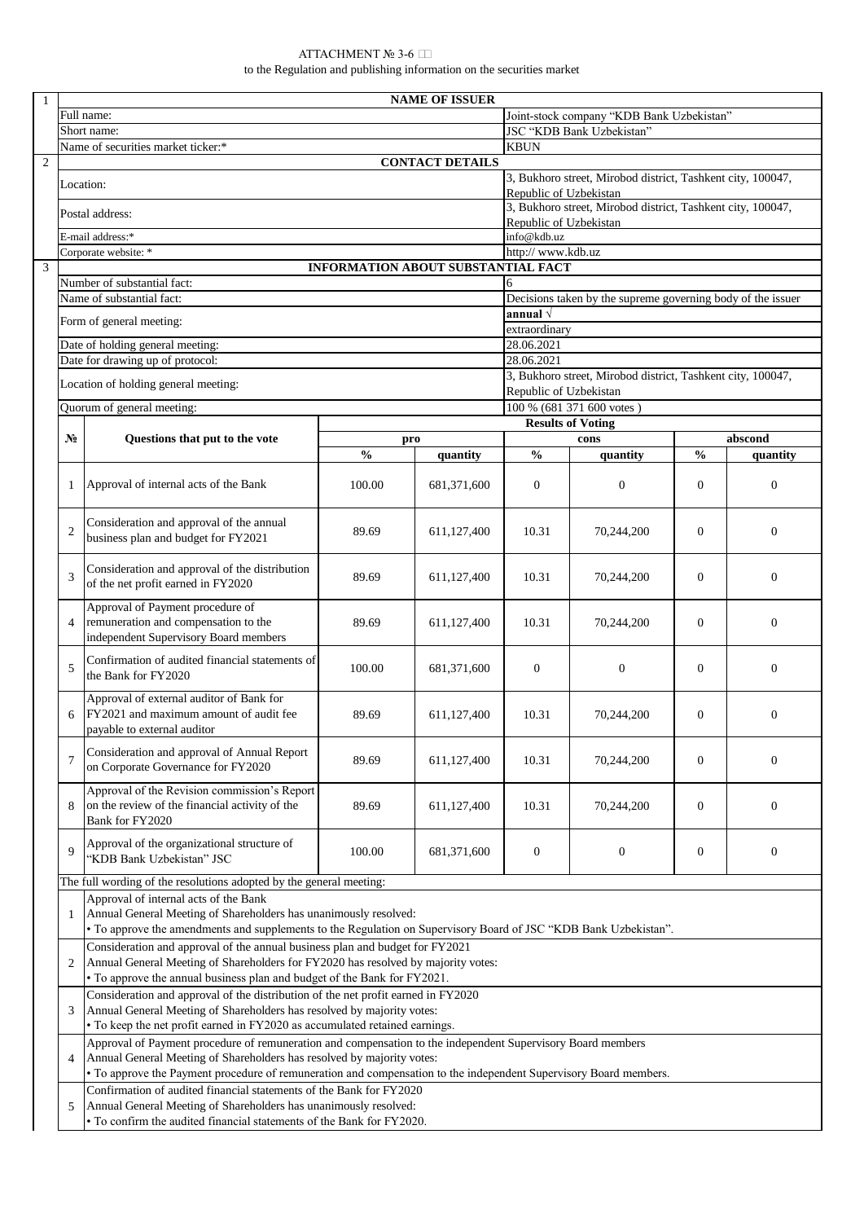| $\mathbf{1}$                                                                                                                                                       |                                                                                                                                                                                                                                    | <b>NAME OF ISSUER</b>                                                                                                                                                                                                                      |                                                             |                                                             |                           |                        |                  |                  |  |  |  |  |
|--------------------------------------------------------------------------------------------------------------------------------------------------------------------|------------------------------------------------------------------------------------------------------------------------------------------------------------------------------------------------------------------------------------|--------------------------------------------------------------------------------------------------------------------------------------------------------------------------------------------------------------------------------------------|-------------------------------------------------------------|-------------------------------------------------------------|---------------------------|------------------------|------------------|------------------|--|--|--|--|
|                                                                                                                                                                    | Full name:<br>Joint-stock company "KDB Bank Uzbekistan"                                                                                                                                                                            |                                                                                                                                                                                                                                            |                                                             |                                                             |                           |                        |                  |                  |  |  |  |  |
|                                                                                                                                                                    |                                                                                                                                                                                                                                    | Short name:                                                                                                                                                                                                                                | JSC "KDB Bank Uzbekistan"                                   |                                                             |                           |                        |                  |                  |  |  |  |  |
|                                                                                                                                                                    | Name of securities market ticker:*                                                                                                                                                                                                 |                                                                                                                                                                                                                                            |                                                             |                                                             |                           | <b>KBUN</b>            |                  |                  |  |  |  |  |
| $\sqrt{2}$                                                                                                                                                         |                                                                                                                                                                                                                                    | <b>CONTACT DETAILS</b>                                                                                                                                                                                                                     |                                                             |                                                             |                           |                        |                  |                  |  |  |  |  |
|                                                                                                                                                                    | 3, Bukhoro street, Mirobod district, Tashkent city, 100047,<br>Location:                                                                                                                                                           |                                                                                                                                                                                                                                            |                                                             |                                                             |                           |                        |                  |                  |  |  |  |  |
|                                                                                                                                                                    |                                                                                                                                                                                                                                    |                                                                                                                                                                                                                                            | Republic of Uzbekistan                                      |                                                             |                           |                        |                  |                  |  |  |  |  |
|                                                                                                                                                                    |                                                                                                                                                                                                                                    |                                                                                                                                                                                                                                            | 3, Bukhoro street, Mirobod district, Tashkent city, 100047, |                                                             |                           |                        |                  |                  |  |  |  |  |
|                                                                                                                                                                    | Postal address:                                                                                                                                                                                                                    |                                                                                                                                                                                                                                            |                                                             |                                                             |                           | Republic of Uzbekistan |                  |                  |  |  |  |  |
|                                                                                                                                                                    |                                                                                                                                                                                                                                    | E-mail address:*                                                                                                                                                                                                                           | info@kdb.uz                                                 |                                                             |                           |                        |                  |                  |  |  |  |  |
|                                                                                                                                                                    |                                                                                                                                                                                                                                    | Corporate website: *                                                                                                                                                                                                                       | http:// www.kdb.uz                                          |                                                             |                           |                        |                  |                  |  |  |  |  |
| 3                                                                                                                                                                  |                                                                                                                                                                                                                                    |                                                                                                                                                                                                                                            |                                                             |                                                             |                           |                        |                  |                  |  |  |  |  |
|                                                                                                                                                                    |                                                                                                                                                                                                                                    | INFORMATION ABOUT SUBSTANTIAL FACT<br>Number of substantial fact:                                                                                                                                                                          |                                                             |                                                             |                           |                        |                  |                  |  |  |  |  |
| 6<br>Name of substantial fact:<br>Decisions taken by the supreme governing body of the issuer                                                                      |                                                                                                                                                                                                                                    |                                                                                                                                                                                                                                            |                                                             |                                                             |                           |                        |                  |                  |  |  |  |  |
|                                                                                                                                                                    |                                                                                                                                                                                                                                    |                                                                                                                                                                                                                                            | annual $\sqrt{}$                                            |                                                             |                           |                        |                  |                  |  |  |  |  |
|                                                                                                                                                                    |                                                                                                                                                                                                                                    | Form of general meeting:                                                                                                                                                                                                                   | extraordinary                                               |                                                             |                           |                        |                  |                  |  |  |  |  |
|                                                                                                                                                                    |                                                                                                                                                                                                                                    | Date of holding general meeting:                                                                                                                                                                                                           | 28.06.2021                                                  |                                                             |                           |                        |                  |                  |  |  |  |  |
|                                                                                                                                                                    |                                                                                                                                                                                                                                    | Date for drawing up of protocol:                                                                                                                                                                                                           | 28.06.2021                                                  |                                                             |                           |                        |                  |                  |  |  |  |  |
|                                                                                                                                                                    |                                                                                                                                                                                                                                    |                                                                                                                                                                                                                                            |                                                             | 3, Bukhoro street, Mirobod district, Tashkent city, 100047, |                           |                        |                  |                  |  |  |  |  |
|                                                                                                                                                                    |                                                                                                                                                                                                                                    | Location of holding general meeting:                                                                                                                                                                                                       |                                                             |                                                             |                           |                        |                  |                  |  |  |  |  |
|                                                                                                                                                                    |                                                                                                                                                                                                                                    |                                                                                                                                                                                                                                            | Republic of Uzbekistan                                      |                                                             |                           |                        |                  |                  |  |  |  |  |
|                                                                                                                                                                    |                                                                                                                                                                                                                                    | Quorum of general meeting:                                                                                                                                                                                                                 |                                                             |                                                             | 100 % (681 371 600 votes) |                        |                  |                  |  |  |  |  |
|                                                                                                                                                                    |                                                                                                                                                                                                                                    |                                                                                                                                                                                                                                            | <b>Results of Voting</b>                                    |                                                             |                           |                        |                  |                  |  |  |  |  |
|                                                                                                                                                                    | $N_2$                                                                                                                                                                                                                              | Questions that put to the vote                                                                                                                                                                                                             |                                                             | pro                                                         |                           | cons                   |                  | abscond          |  |  |  |  |
|                                                                                                                                                                    |                                                                                                                                                                                                                                    |                                                                                                                                                                                                                                            | $\frac{0}{0}$                                               | quantity                                                    | $\frac{0}{0}$             | quantity               | $\frac{0}{0}$    | quantity         |  |  |  |  |
|                                                                                                                                                                    | 1                                                                                                                                                                                                                                  | Approval of internal acts of the Bank                                                                                                                                                                                                      | 100.00                                                      | 681, 371, 600                                               | $\boldsymbol{0}$          | $\overline{0}$         | $\overline{0}$   | $\boldsymbol{0}$ |  |  |  |  |
|                                                                                                                                                                    | $\overline{2}$                                                                                                                                                                                                                     | Consideration and approval of the annual<br>business plan and budget for FY2021                                                                                                                                                            | 89.69                                                       | 611,127,400                                                 | 10.31                     | 70,244,200             | $\mathbf{0}$     | $\overline{0}$   |  |  |  |  |
|                                                                                                                                                                    | 3                                                                                                                                                                                                                                  | Consideration and approval of the distribution<br>of the net profit earned in FY2020                                                                                                                                                       | 89.69                                                       | 611,127,400                                                 | 10.31                     | 70,244,200             | $\mathbf{0}$     | $\overline{0}$   |  |  |  |  |
|                                                                                                                                                                    | 4                                                                                                                                                                                                                                  | Approval of Payment procedure of<br>remuneration and compensation to the<br>independent Supervisory Board members                                                                                                                          | 89.69                                                       | 611,127,400                                                 | 10.31                     | 70,244,200             | $\mathbf{0}$     | $\overline{0}$   |  |  |  |  |
|                                                                                                                                                                    | 5                                                                                                                                                                                                                                  | Confirmation of audited financial statements of<br>the Bank for FY2020                                                                                                                                                                     | 100.00                                                      | 681,371,600                                                 | $\boldsymbol{0}$          | $\mathbf{0}$           | $\mathbf{0}$     | $\overline{0}$   |  |  |  |  |
|                                                                                                                                                                    | 6                                                                                                                                                                                                                                  | Approval of external auditor of Bank for<br>FY2021 and maximum amount of audit fee<br>payable to external auditor                                                                                                                          | 89.69                                                       | 611,127,400                                                 | 10.31                     | 70,244,200             | $\boldsymbol{0}$ | $\boldsymbol{0}$ |  |  |  |  |
|                                                                                                                                                                    | 7                                                                                                                                                                                                                                  | Consideration and approval of Annual Report<br>on Corporate Governance for FY2020                                                                                                                                                          | 89.69                                                       | 611,127,400                                                 | 10.31                     | 70,244,200             | $\overline{0}$   | $\boldsymbol{0}$ |  |  |  |  |
|                                                                                                                                                                    | 8                                                                                                                                                                                                                                  | Approval of the Revision commission's Report<br>on the review of the financial activity of the<br>Bank for FY2020                                                                                                                          | 89.69                                                       | 611,127,400                                                 | 10.31                     | 70,244,200             | $\boldsymbol{0}$ | $\boldsymbol{0}$ |  |  |  |  |
|                                                                                                                                                                    | 9                                                                                                                                                                                                                                  | Approval of the organizational structure of<br>"KDB Bank Uzbekistan" JSC                                                                                                                                                                   | 100.00                                                      | 681,371,600                                                 | $\boldsymbol{0}$          | $\boldsymbol{0}$       | $\boldsymbol{0}$ | $\boldsymbol{0}$ |  |  |  |  |
|                                                                                                                                                                    |                                                                                                                                                                                                                                    | The full wording of the resolutions adopted by the general meeting:                                                                                                                                                                        |                                                             |                                                             |                           |                        |                  |                  |  |  |  |  |
|                                                                                                                                                                    | Approval of internal acts of the Bank<br>Annual General Meeting of Shareholders has unanimously resolved:<br>1<br>• To approve the amendments and supplements to the Regulation on Supervisory Board of JSC "KDB Bank Uzbekistan". |                                                                                                                                                                                                                                            |                                                             |                                                             |                           |                        |                  |                  |  |  |  |  |
|                                                                                                                                                                    |                                                                                                                                                                                                                                    | Consideration and approval of the annual business plan and budget for FY2021                                                                                                                                                               |                                                             |                                                             |                           |                        |                  |                  |  |  |  |  |
| Annual General Meeting of Shareholders for FY2020 has resolved by majority votes:<br>2<br>• To approve the annual business plan and budget of the Bank for FY2021. |                                                                                                                                                                                                                                    |                                                                                                                                                                                                                                            |                                                             |                                                             |                           |                        |                  |                  |  |  |  |  |
|                                                                                                                                                                    | 3                                                                                                                                                                                                                                  | Consideration and approval of the distribution of the net profit earned in FY2020<br>Annual General Meeting of Shareholders has resolved by majority votes:<br>· To keep the net profit earned in FY2020 as accumulated retained earnings. |                                                             |                                                             |                           |                        |                  |                  |  |  |  |  |
|                                                                                                                                                                    |                                                                                                                                                                                                                                    | Approval of Payment procedure of remuneration and compensation to the independent Supervisory Board members                                                                                                                                |                                                             |                                                             |                           |                        |                  |                  |  |  |  |  |
|                                                                                                                                                                    | 4                                                                                                                                                                                                                                  | Annual General Meeting of Shareholders has resolved by majority votes:                                                                                                                                                                     |                                                             |                                                             |                           |                        |                  |                  |  |  |  |  |
|                                                                                                                                                                    |                                                                                                                                                                                                                                    |                                                                                                                                                                                                                                            |                                                             |                                                             |                           |                        |                  |                  |  |  |  |  |
|                                                                                                                                                                    |                                                                                                                                                                                                                                    | · To approve the Payment procedure of remuneration and compensation to the independent Supervisory Board members.                                                                                                                          |                                                             |                                                             |                           |                        |                  |                  |  |  |  |  |
|                                                                                                                                                                    | Confirmation of audited financial statements of the Bank for FY2020                                                                                                                                                                |                                                                                                                                                                                                                                            |                                                             |                                                             |                           |                        |                  |                  |  |  |  |  |
|                                                                                                                                                                    | 5                                                                                                                                                                                                                                  | Annual General Meeting of Shareholders has unanimously resolved:                                                                                                                                                                           |                                                             |                                                             |                           |                        |                  |                  |  |  |  |  |
|                                                                                                                                                                    | · To confirm the audited financial statements of the Bank for FY2020.                                                                                                                                                              |                                                                                                                                                                                                                                            |                                                             |                                                             |                           |                        |                  |                  |  |  |  |  |